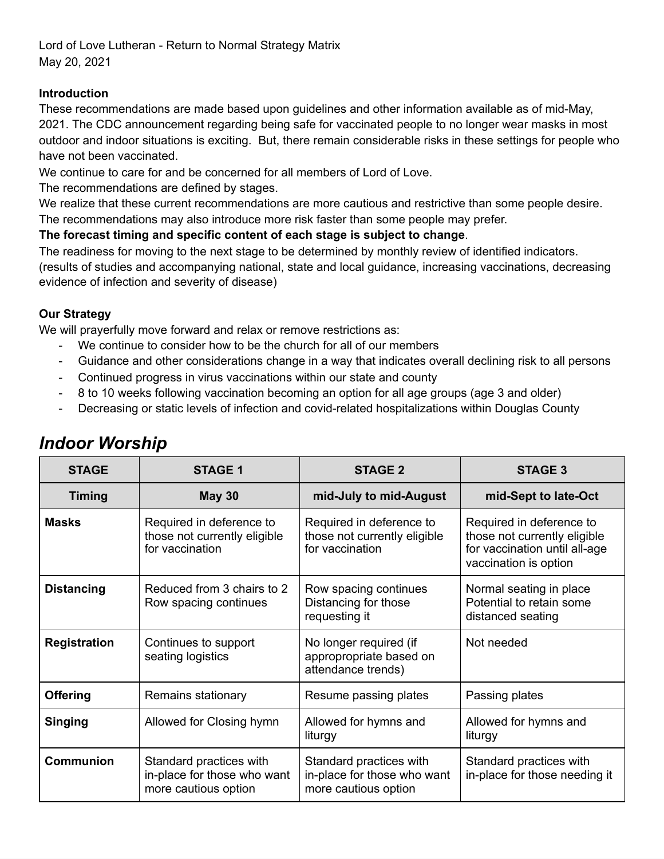Lord of Love Lutheran - Return to Normal Strategy Matrix May 20, 2021

#### **Introduction**

These recommendations are made based upon guidelines and other information available as of mid-May, 2021. The CDC announcement regarding being safe for vaccinated people to no longer wear masks in most outdoor and indoor situations is exciting. But, there remain considerable risks in these settings for people who have not been vaccinated.

We continue to care for and be concerned for all members of Lord of Love.

The recommendations are defined by stages.

We realize that these current recommendations are more cautious and restrictive than some people desire.

The recommendations may also introduce more risk faster than some people may prefer.

#### **The forecast timing and specific content of each stage is subject to change**.

The readiness for moving to the next stage to be determined by monthly review of identified indicators.

(results of studies and accompanying national, state and local guidance, increasing vaccinations, decreasing evidence of infection and severity of disease)

### **Our Strategy**

We will prayerfully move forward and relax or remove restrictions as:

- We continue to consider how to be the church for all of our members
- Guidance and other considerations change in a way that indicates overall declining risk to all persons
- Continued progress in virus vaccinations within our state and county
- 8 to 10 weeks following vaccination becoming an option for all age groups (age 3 and older)
- Decreasing or static levels of infection and covid-related hospitalizations within Douglas County

| <b>STAGE</b>        | <b>STAGE 1</b>                                                                 | <b>STAGE 2</b>                                                                 | <b>STAGE 3</b>                                                                                                     |
|---------------------|--------------------------------------------------------------------------------|--------------------------------------------------------------------------------|--------------------------------------------------------------------------------------------------------------------|
| <b>Timing</b>       | <b>May 30</b>                                                                  | mid-July to mid-August                                                         | mid-Sept to late-Oct                                                                                               |
| <b>Masks</b>        | Required in deference to<br>those not currently eligible<br>for vaccination    | Required in deference to<br>those not currently eligible<br>for vaccination    | Required in deference to<br>those not currently eligible<br>for vaccination until all-age<br>vaccination is option |
| <b>Distancing</b>   | Reduced from 3 chairs to 2<br>Row spacing continues                            | Row spacing continues<br>Distancing for those<br>requesting it                 | Normal seating in place<br>Potential to retain some<br>distanced seating                                           |
| <b>Registration</b> | Continues to support<br>seating logistics                                      | No longer required (if<br>appropropriate based on<br>attendance trends)        | Not needed                                                                                                         |
| <b>Offering</b>     | Remains stationary                                                             | Resume passing plates                                                          | Passing plates                                                                                                     |
| <b>Singing</b>      | Allowed for Closing hymn                                                       | Allowed for hymns and<br>liturgy                                               | Allowed for hymns and<br>liturgy                                                                                   |
| <b>Communion</b>    | Standard practices with<br>in-place for those who want<br>more cautious option | Standard practices with<br>in-place for those who want<br>more cautious option | Standard practices with<br>in-place for those needing it                                                           |

## *Indoor Worship*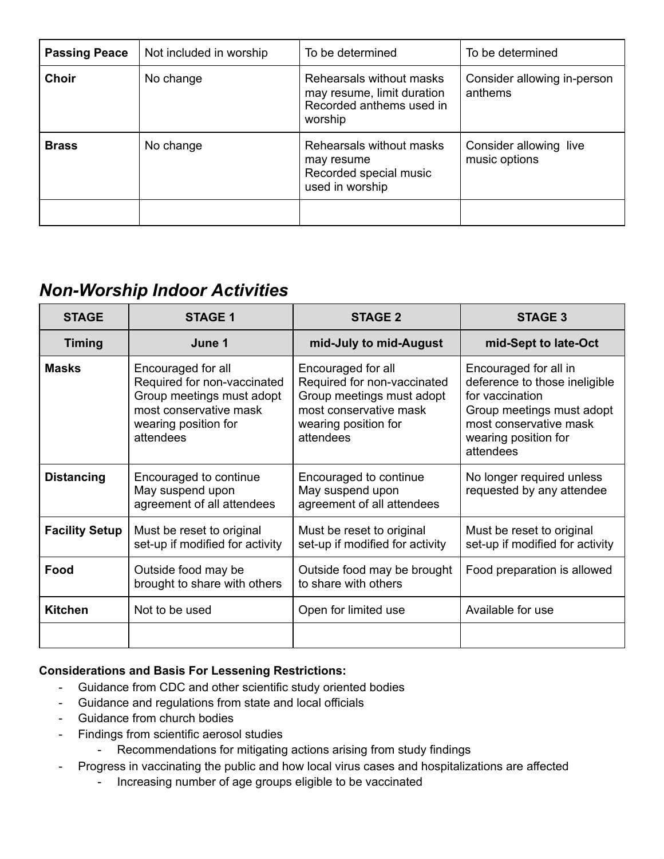| <b>Passing Peace</b> | Not included in worship | To be determined                                                                              | To be determined                        |
|----------------------|-------------------------|-----------------------------------------------------------------------------------------------|-----------------------------------------|
| <b>Choir</b>         | No change               | Rehearsals without masks<br>may resume, limit duration<br>Recorded anthems used in<br>worship | Consider allowing in-person<br>anthems  |
| <b>Brass</b>         | No change               | Rehearsals without masks<br>may resume<br>Recorded special music<br>used in worship           | Consider allowing live<br>music options |
|                      |                         |                                                                                               |                                         |

# *Non-Worship Indoor Activities*

| <b>STAGE</b>          | <b>STAGE 1</b>                                                                                                                                | <b>STAGE 2</b>                                                                                                                                | <b>STAGE 3</b>                                                                                                                                                        |
|-----------------------|-----------------------------------------------------------------------------------------------------------------------------------------------|-----------------------------------------------------------------------------------------------------------------------------------------------|-----------------------------------------------------------------------------------------------------------------------------------------------------------------------|
| <b>Timing</b>         | June 1                                                                                                                                        | mid-July to mid-August                                                                                                                        | mid-Sept to late-Oct                                                                                                                                                  |
| <b>Masks</b>          | Encouraged for all<br>Required for non-vaccinated<br>Group meetings must adopt<br>most conservative mask<br>wearing position for<br>attendees | Encouraged for all<br>Required for non-vaccinated<br>Group meetings must adopt<br>most conservative mask<br>wearing position for<br>attendees | Encouraged for all in<br>deference to those ineligible<br>for vaccination<br>Group meetings must adopt<br>most conservative mask<br>wearing position for<br>attendees |
| <b>Distancing</b>     | Encouraged to continue<br>May suspend upon<br>agreement of all attendees                                                                      | Encouraged to continue<br>May suspend upon<br>agreement of all attendees                                                                      | No longer required unless<br>requested by any attendee                                                                                                                |
| <b>Facility Setup</b> | Must be reset to original<br>set-up if modified for activity                                                                                  | Must be reset to original<br>set-up if modified for activity                                                                                  | Must be reset to original<br>set-up if modified for activity                                                                                                          |
| Food                  | Outside food may be<br>brought to share with others                                                                                           | Outside food may be brought<br>to share with others                                                                                           | Food preparation is allowed                                                                                                                                           |
| <b>Kitchen</b>        | Not to be used                                                                                                                                | Open for limited use                                                                                                                          | Available for use                                                                                                                                                     |
|                       |                                                                                                                                               |                                                                                                                                               |                                                                                                                                                                       |

## **Considerations and Basis For Lessening Restrictions:**

- Guidance from CDC and other scientific study oriented bodies
- Guidance and regulations from state and local officials
- Guidance from church bodies
- Findings from scientific aerosol studies
	- Recommendations for mitigating actions arising from study findings
- Progress in vaccinating the public and how local virus cases and hospitalizations are affected
	- Increasing number of age groups eligible to be vaccinated